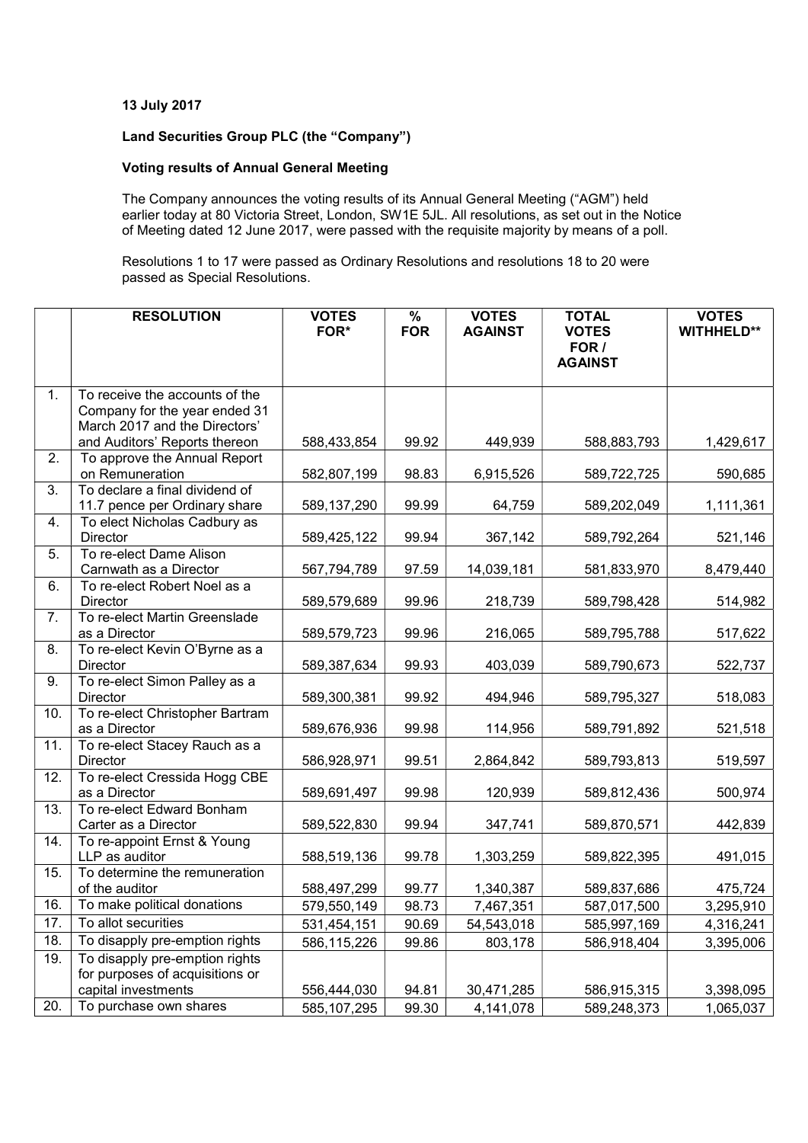### 13 July 2017

# Land Securities Group PLC (the "Company")

## Voting results of Annual General Meeting

The Company announces the voting results of its Annual General Meeting ("AGM") held earlier today at 80 Victoria Street, London, SW1E 5JL. All resolutions, as set out in the Notice of Meeting dated 12 June 2017, were passed with the requisite majority by means of a poll.

Resolutions 1 to 17 were passed as Ordinary Resolutions and resolutions 18 to 20 were passed as Special Resolutions.

|     | <b>RESOLUTION</b>                                                                                                                 | <b>VOTES</b><br>FOR* | $\frac{9}{6}$<br><b>FOR</b> | <b>VOTES</b><br><b>AGAINST</b> | <b>TOTAL</b><br><b>VOTES</b><br>FOR / | <b>VOTES</b><br><b>WITHHELD**</b> |
|-----|-----------------------------------------------------------------------------------------------------------------------------------|----------------------|-----------------------------|--------------------------------|---------------------------------------|-----------------------------------|
|     |                                                                                                                                   |                      |                             |                                | <b>AGAINST</b>                        |                                   |
| 1.  | To receive the accounts of the<br>Company for the year ended 31<br>March 2017 and the Directors'<br>and Auditors' Reports thereon | 588,433,854          | 99.92                       | 449,939                        | 588,883,793                           | 1,429,617                         |
| 2.  | To approve the Annual Report                                                                                                      |                      |                             |                                |                                       |                                   |
|     | on Remuneration                                                                                                                   | 582,807,199          | 98.83                       | 6,915,526                      | 589,722,725                           | 590,685                           |
| 3.  | To declare a final dividend of<br>11.7 pence per Ordinary share                                                                   | 589,137,290          | 99.99                       | 64,759                         | 589,202,049                           | 1,111,361                         |
| 4.  | To elect Nicholas Cadbury as<br>Director                                                                                          | 589,425,122          | 99.94                       | 367,142                        | 589,792,264                           | 521,146                           |
| 5.  | To re-elect Dame Alison<br>Carnwath as a Director                                                                                 | 567,794,789          | 97.59                       | 14,039,181                     | 581,833,970                           | 8,479,440                         |
| 6.  | To re-elect Robert Noel as a<br>Director                                                                                          | 589,579,689          | 99.96                       | 218,739                        | 589,798,428                           | 514,982                           |
| 7.  | To re-elect Martin Greenslade<br>as a Director                                                                                    | 589,579,723          | 99.96                       | 216,065                        | 589,795,788                           | 517,622                           |
| 8.  | To re-elect Kevin O'Byrne as a<br>Director                                                                                        | 589,387,634          | 99.93                       | 403,039                        | 589,790,673                           | 522,737                           |
| 9.  | To re-elect Simon Palley as a<br>Director                                                                                         | 589,300,381          | 99.92                       | 494,946                        | 589,795,327                           | 518,083                           |
| 10. | To re-elect Christopher Bartram<br>as a Director                                                                                  | 589,676,936          | 99.98                       | 114,956                        | 589,791,892                           | 521,518                           |
| 11. | To re-elect Stacey Rauch as a<br>Director                                                                                         | 586,928,971          | 99.51                       | 2,864,842                      | 589,793,813                           | 519,597                           |
| 12. | To re-elect Cressida Hogg CBE<br>as a Director                                                                                    | 589,691,497          | 99.98                       | 120,939                        | 589,812,436                           | 500,974                           |
| 13. | To re-elect Edward Bonham<br>Carter as a Director                                                                                 | 589,522,830          | 99.94                       | 347,741                        | 589,870,571                           | 442,839                           |
| 14. | To re-appoint Ernst & Young<br>LLP as auditor                                                                                     | 588,519,136          | 99.78                       | 1,303,259                      | 589,822,395                           | 491,015                           |
| 15. | To determine the remuneration<br>of the auditor                                                                                   | 588,497,299          | 99.77                       | 1,340,387                      | 589,837,686                           | 475,724                           |
| 16. | To make political donations                                                                                                       | 579,550,149          | 98.73                       | 7,467,351                      | 587,017,500                           | 3,295,910                         |
| 17. | To allot securities                                                                                                               | 531,454,151          | 90.69                       | 54,543,018                     | 585,997,169                           | 4,316,241                         |
| 18. | To disapply pre-emption rights                                                                                                    | 586,115,226          | 99.86                       | 803,178                        | 586,918,404                           | 3,395,006                         |
| 19. | To disapply pre-emption rights<br>for purposes of acquisitions or<br>capital investments                                          | 556,444,030          | 94.81                       | 30,471,285                     | 586,915,315                           | 3,398,095                         |
| 20. | To purchase own shares                                                                                                            | 585, 107, 295        | 99.30                       | 4,141,078                      | 589,248,373                           | 1,065,037                         |